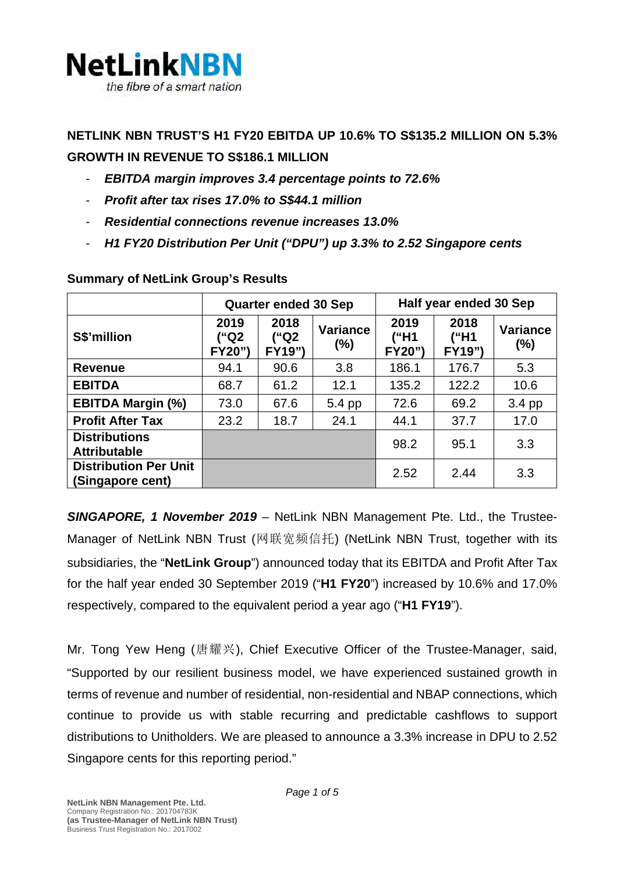

**NETLINK NBN TRUST'S H1 FY20 EBITDA UP 10.6% TO S\$135.2 MILLION ON 5.3% GROWTH IN REVENUE TO S\$186.1 MILLION**

- *EBITDA margin improves 3.4 percentage points to 72.6%*
- *Profit after tax rises 17.0% to S\$44.1 million*
- *Residential connections revenue increases 13.0%*
- *H1 FY20 Distribution Per Unit ("DPU") up 3.3% to 2.52 Singapore cents*

|                                                  | <b>Quarter ended 30 Sep</b>   |                        |                           | Half year ended 30 Sep |                               |                           |
|--------------------------------------------------|-------------------------------|------------------------|---------------------------|------------------------|-------------------------------|---------------------------|
| S\$'million                                      | 2019<br>("Q2<br><b>FY20")</b> | 2018<br>("Q2<br>FY19") | <b>Variance</b><br>$(\%)$ | 2019<br>("H1<br>FY20") | 2018<br>("H1<br><b>FY19")</b> | <b>Variance</b><br>$(\%)$ |
| <b>Revenue</b>                                   | 94.1                          | 90.6                   | 3.8                       | 186.1                  | 176.7                         | 5.3                       |
| <b>EBITDA</b>                                    | 68.7                          | 61.2                   | 12.1                      | 135.2                  | 122.2                         | 10.6                      |
| <b>EBITDA Margin (%)</b>                         | 73.0                          | 67.6                   | 5.4 pp                    | 72.6                   | 69.2                          | 3.4 pp                    |
| <b>Profit After Tax</b>                          | 23.2                          | 18.7                   | 24.1                      | 44.1                   | 37.7                          | 17.0                      |
| <b>Distributions</b><br><b>Attributable</b>      |                               |                        |                           | 98.2                   | 95.1                          | 3.3                       |
| <b>Distribution Per Unit</b><br>(Singapore cent) |                               |                        |                           | 2.52                   | 2.44                          | 3.3                       |

#### **Summary of NetLink Group's Results**

*SINGAPORE, 1 November 2019 –* NetLink NBN Management Pte. Ltd., the Trustee-Manager of NetLink NBN Trust (网联宽频信托) (NetLink NBN Trust, together with its subsidiaries, the "**NetLink Group**") announced today that its EBITDA and Profit After Tax for the half year ended 30 September 2019 ("**H1 FY20**") increased by 10.6% and 17.0% respectively, compared to the equivalent period a year ago ("**H1 FY19**").

Mr. Tong Yew Heng (唐耀兴), Chief Executive Officer of the Trustee-Manager, said, "Supported by our resilient business model, we have experienced sustained growth in terms of revenue and number of residential, non-residential and NBAP connections, which continue to provide us with stable recurring and predictable cashflows to support distributions to Unitholders. We are pleased to announce a 3.3% increase in DPU to 2.52 Singapore cents for this reporting period."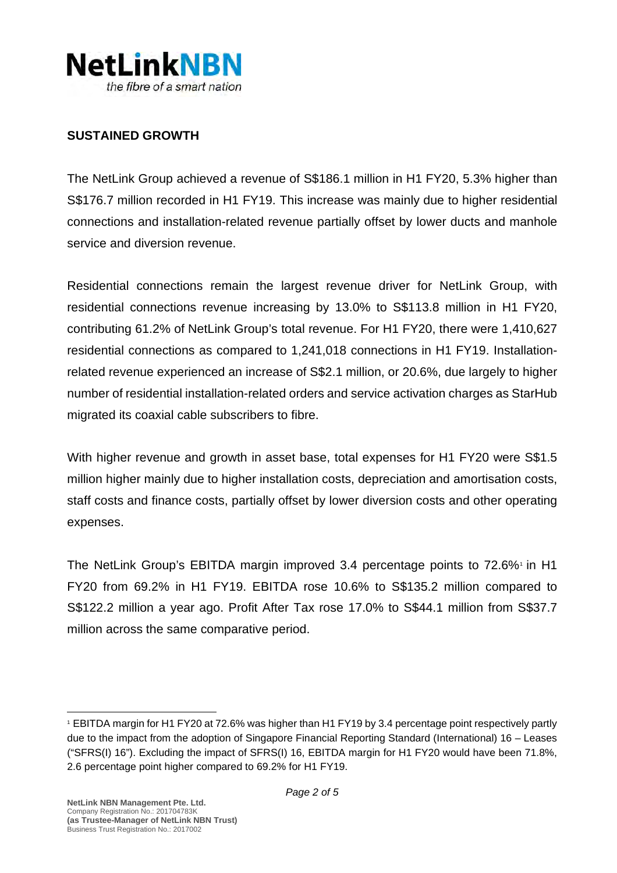

#### **SUSTAINED GROWTH**

The NetLink Group achieved a revenue of S\$186.1 million in H1 FY20, 5.3% higher than S\$176.7 million recorded in H1 FY19. This increase was mainly due to higher residential connections and installation-related revenue partially offset by lower ducts and manhole service and diversion revenue.

Residential connections remain the largest revenue driver for NetLink Group, with residential connections revenue increasing by 13.0% to S\$113.8 million in H1 FY20, contributing 61.2% of NetLink Group's total revenue. For H1 FY20, there were 1,410,627 residential connections as compared to 1,241,018 connections in H1 FY19. Installationrelated revenue experienced an increase of S\$2.1 million, or 20.6%, due largely to higher number of residential installation-related orders and service activation charges as StarHub migrated its coaxial cable subscribers to fibre.

With higher revenue and growth in asset base, total expenses for H1 FY20 were S\$1.5 million higher mainly due to higher installation costs, depreciation and amortisation costs, staff costs and finance costs, partially offset by lower diversion costs and other operating expenses.

The NetLink Group's EBITDA margin improved 3.4 percentage points to 72.6% in H[1](#page-1-0) FY20 from 69.2% in H1 FY19. EBITDA rose 10.6% to S\$135.2 million compared to S\$122.2 million a year ago. Profit After Tax rose 17.0% to S\$44.1 million from S\$37.7 million across the same comparative period.

<span id="page-1-0"></span><sup>1</sup> EBITDA margin for H1 FY20 at 72.6% was higher than H1 FY19 by 3.4 percentage point respectively partly due to the impact from the adoption of Singapore Financial Reporting Standard (International) 16 – Leases ("SFRS(I) 16"). Excluding the impact of SFRS(I) 16, EBITDA margin for H1 FY20 would have been 71.8%, 2.6 percentage point higher compared to 69.2% for H1 FY19.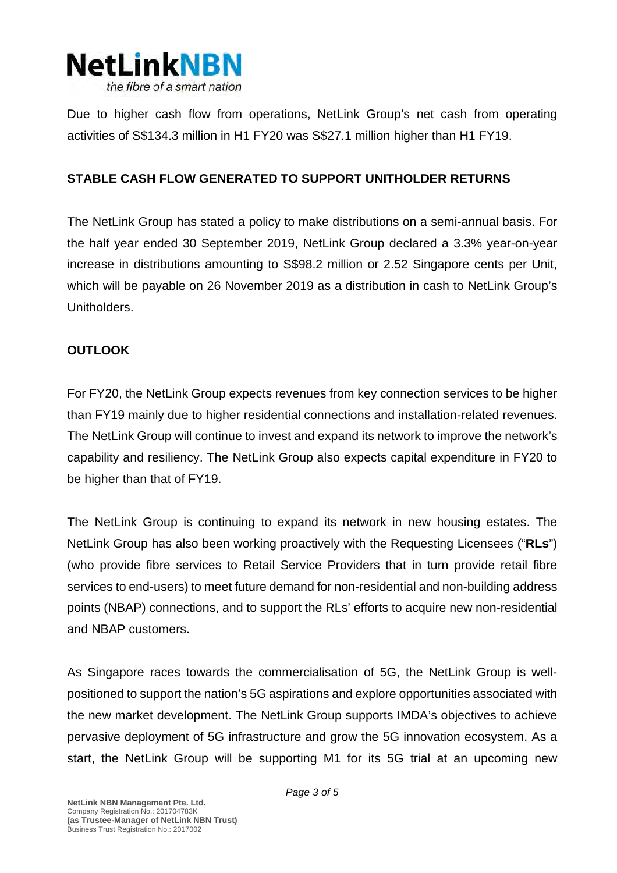

Due to higher cash flow from operations, NetLink Group's net cash from operating activities of S\$134.3 million in H1 FY20 was S\$27.1 million higher than H1 FY19.

## **STABLE CASH FLOW GENERATED TO SUPPORT UNITHOLDER RETURNS**

The NetLink Group has stated a policy to make distributions on a semi-annual basis. For the half year ended 30 September 2019, NetLink Group declared a 3.3% year-on-year increase in distributions amounting to S\$98.2 million or 2.52 Singapore cents per Unit, which will be payable on 26 November 2019 as a distribution in cash to NetLink Group's Unitholders.

## **OUTLOOK**

For FY20, the NetLink Group expects revenues from key connection services to be higher than FY19 mainly due to higher residential connections and installation-related revenues. The NetLink Group will continue to invest and expand its network to improve the network's capability and resiliency. The NetLink Group also expects capital expenditure in FY20 to be higher than that of FY19.

The NetLink Group is continuing to expand its network in new housing estates. The NetLink Group has also been working proactively with the Requesting Licensees ("**RLs**") (who provide fibre services to Retail Service Providers that in turn provide retail fibre services to end-users) to meet future demand for non-residential and non-building address points (NBAP) connections, and to support the RLs' efforts to acquire new non-residential and NBAP customers.

As Singapore races towards the commercialisation of 5G, the NetLink Group is wellpositioned to support the nation's 5G aspirations and explore opportunities associated with the new market development. The NetLink Group supports IMDA's objectives to achieve pervasive deployment of 5G infrastructure and grow the 5G innovation ecosystem. As a start, the NetLink Group will be supporting M1 for its 5G trial at an upcoming new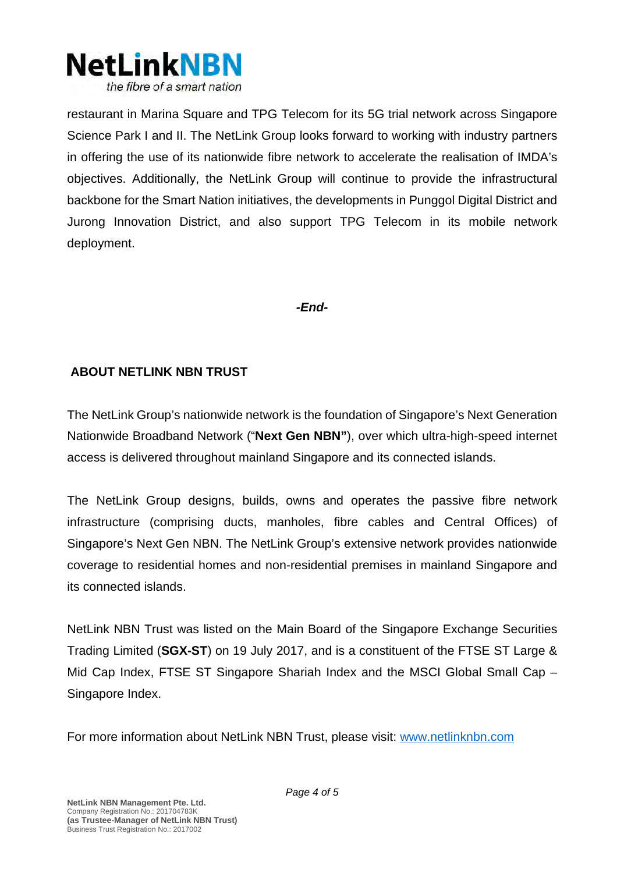

restaurant in Marina Square and TPG Telecom for its 5G trial network across Singapore Science Park I and II. The NetLink Group looks forward to working with industry partners in offering the use of its nationwide fibre network to accelerate the realisation of IMDA's objectives. Additionally, the NetLink Group will continue to provide the infrastructural backbone for the Smart Nation initiatives, the developments in Punggol Digital District and Jurong Innovation District, and also support TPG Telecom in its mobile network deployment.

### *-End-*

## **ABOUT NETLINK NBN TRUST**

The NetLink Group's nationwide network is the foundation of Singapore's Next Generation Nationwide Broadband Network ("**Next Gen NBN"**), over which ultra-high-speed internet access is delivered throughout mainland Singapore and its connected islands.

The NetLink Group designs, builds, owns and operates the passive fibre network infrastructure (comprising ducts, manholes, fibre cables and Central Offices) of Singapore's Next Gen NBN. The NetLink Group's extensive network provides nationwide coverage to residential homes and non-residential premises in mainland Singapore and its connected islands.

NetLink NBN Trust was listed on the Main Board of the Singapore Exchange Securities Trading Limited (**SGX-ST**) on 19 July 2017, and is a constituent of the FTSE ST Large & Mid Cap Index, FTSE ST Singapore Shariah Index and the MSCI Global Small Cap – Singapore Index.

For more information about NetLink NBN Trust, please visit: [www.netlinknbn.com](http://www.netlinknbn.com/)